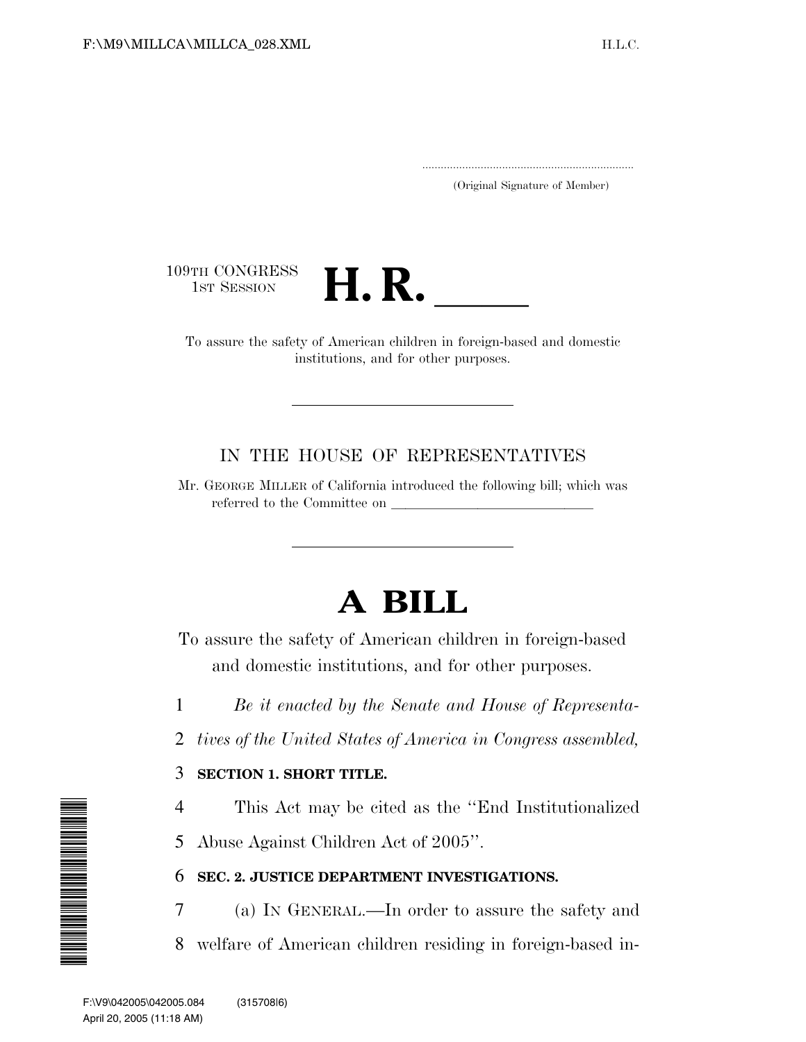.....................................................................

(Original Signature of Member)



To assure the safety of American children in foreign-based and domestic institutions, and for other purposes.

### IN THE HOUSE OF REPRESENTATIVES

Mr. GEORGE MILLER of California introduced the following bill; which was referred to the Committee on  $\sqrt{\frac{1}{\sum_{i=1}^{n} (x_i - x_i)^2}}$ 

# **A BILL**

To assure the safety of American children in foreign-based and domestic institutions, and for other purposes.

- 1 *Be it enacted by the Senate and House of Representa-*
- 2 *tives of the United States of America in Congress assembled,*

### 3 **SECTION 1. SHORT TITLE.**

- 4 This Act may be cited as the ''End Institutionalized
- 5 Abuse Against Children Act of 2005''.

### 6 **SEC. 2. JUSTICE DEPARTMENT INVESTIGATIONS.**

7 (a) IN GENERAL.—In order to assure the safety and 8 welfare of American children residing in foreign-based in-

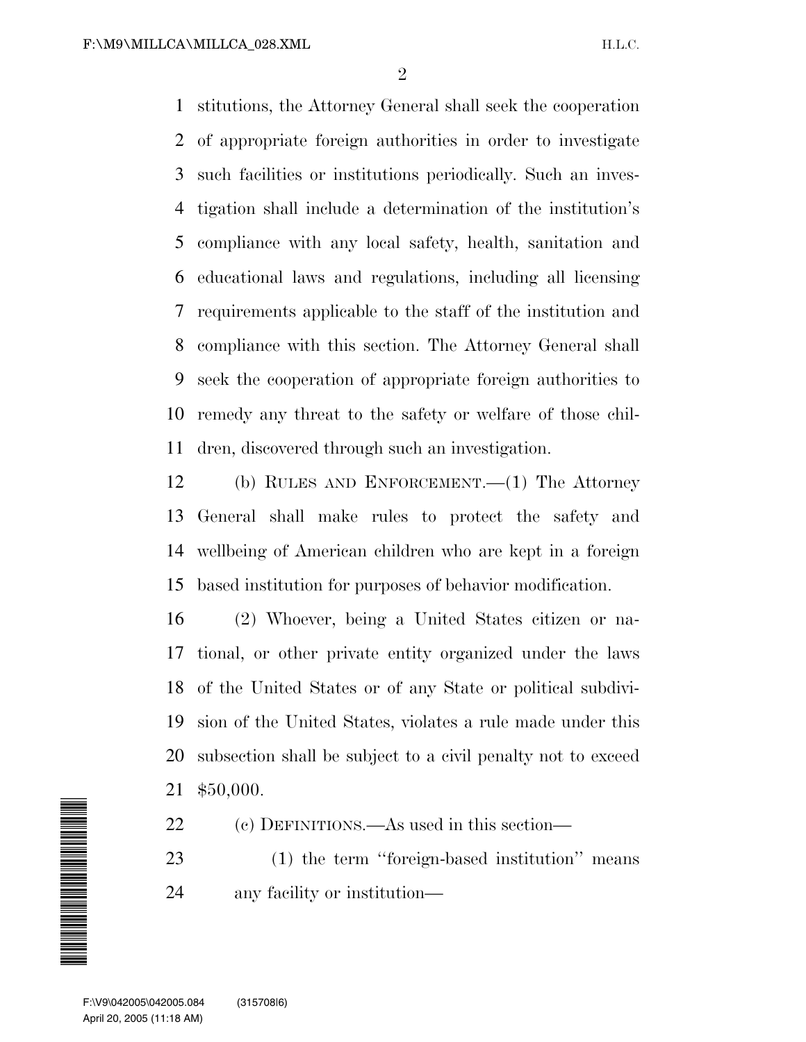stitutions, the Attorney General shall seek the cooperation of appropriate foreign authorities in order to investigate such facilities or institutions periodically. Such an inves- tigation shall include a determination of the institution's compliance with any local safety, health, sanitation and educational laws and regulations, including all licensing requirements applicable to the staff of the institution and compliance with this section. The Attorney General shall seek the cooperation of appropriate foreign authorities to remedy any threat to the safety or welfare of those chil-dren, discovered through such an investigation.

 (b) RULES AND ENFORCEMENT.—(1) The Attorney General shall make rules to protect the safety and wellbeing of American children who are kept in a foreign based institution for purposes of behavior modification.

 (2) Whoever, being a United States citizen or na- tional, or other private entity organized under the laws of the United States or of any State or political subdivi- sion of the United States, violates a rule made under this subsection shall be subject to a civil penalty not to exceed \$50,000.

(c) DEFINITIONS.—As used in this section—

 (1) the term ''foreign-based institution'' means any facility or institution—

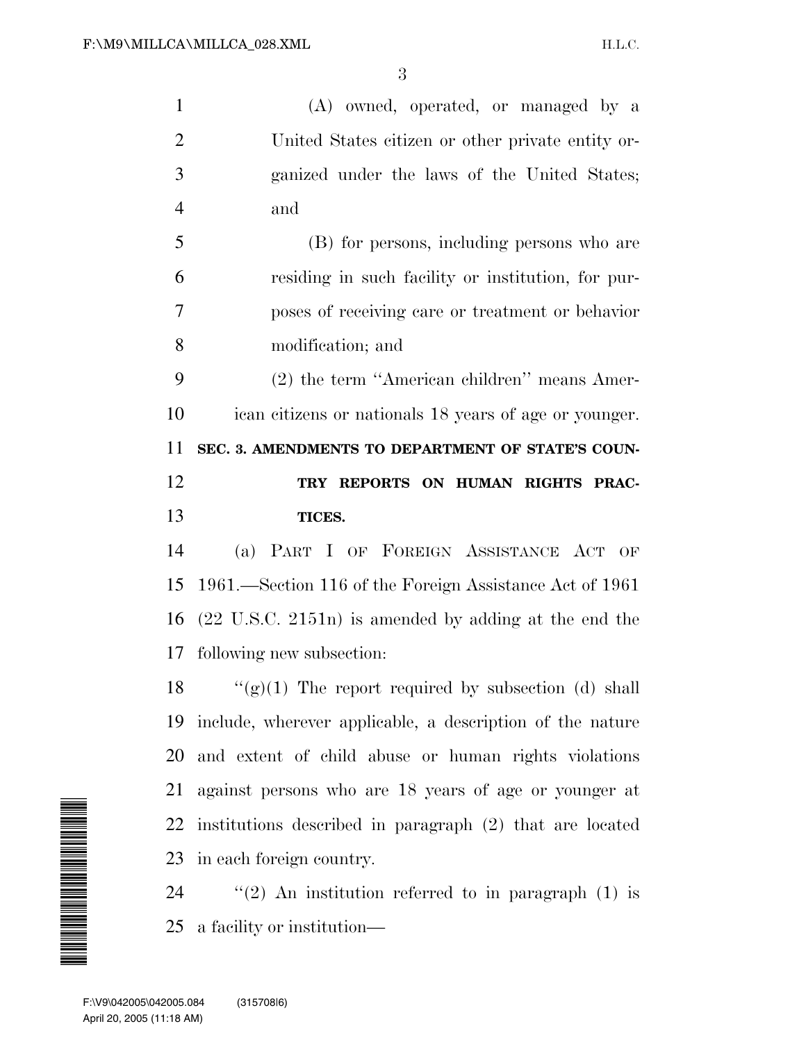(A) owned, operated, or managed by a United States citizen or other private entity or- ganized under the laws of the United States; and (B) for persons, including persons who are residing in such facility or institution, for pur-poses of receiving care or treatment or behavior

 (2) the term ''American children'' means Amer- ican citizens or nationals 18 years of age or younger. **SEC. 3. AMENDMENTS TO DEPARTMENT OF STATE'S COUN- TRY REPORTS ON HUMAN RIGHTS PRAC-TICES.**

modification; and

 (a) PART I OF FOREIGN ASSISTANCE ACT OF 1961.—Section 116 of the Foreign Assistance Act of 1961 (22 U.S.C. 2151n) is amended by adding at the end the following new subsection:

 $\langle (g)(1)$  The report required by subsection (d) shall include, wherever applicable, a description of the nature and extent of child abuse or human rights violations against persons who are 18 years of age or younger at institutions described in paragraph (2) that are located in each foreign country.

24  $\qquad$  "(2) An institution referred to in paragraph (1) is a facility or institution—

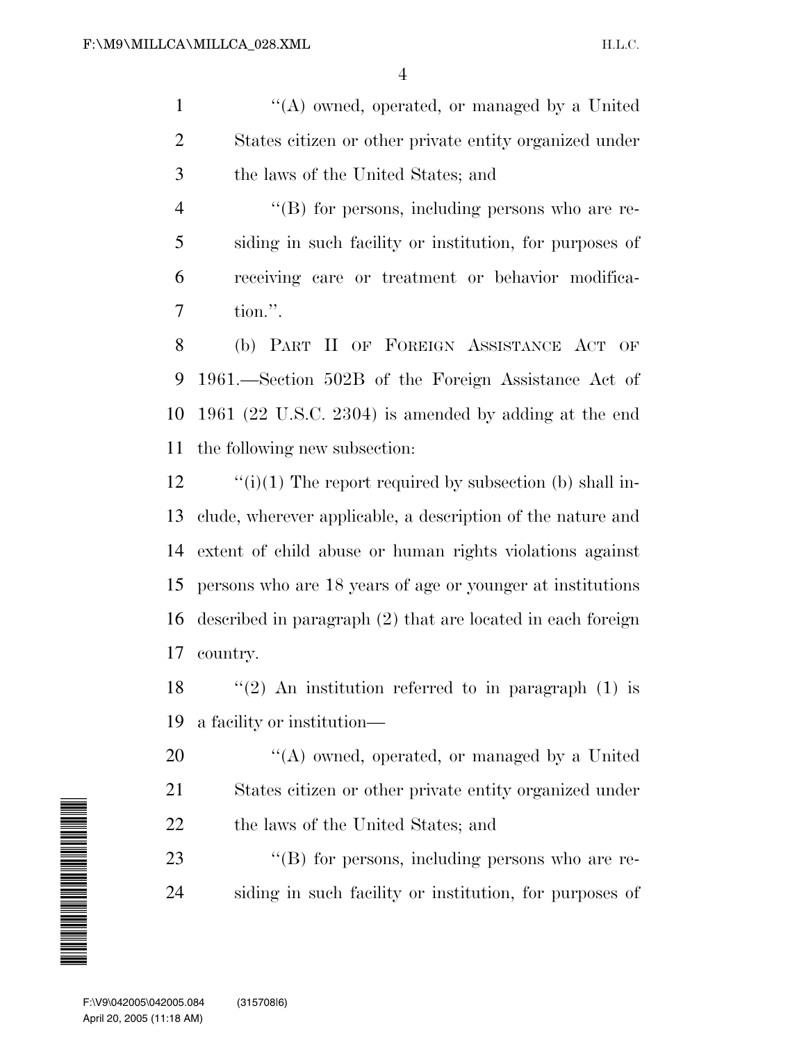1 "(A) owned, operated, or managed by a United 2 States citizen or other private entity organized under 3 the laws of the United States; and

4 "(B) for persons, including persons who are re-5 siding in such facility or institution, for purposes of 6 receiving care or treatment or behavior modifica-7 tion.''.

 (b) PART II OF FOREIGN ASSISTANCE ACT OF 1961.—Section 502B of the Foreign Assistance Act of 1961 (22 U.S.C. 2304) is amended by adding at the end the following new subsection:

 $\qquad$  "(i)(1) The report required by subsection (b) shall in- clude, wherever applicable, a description of the nature and extent of child abuse or human rights violations against persons who are 18 years of age or younger at institutions described in paragraph (2) that are located in each foreign 17 country.

18  $\frac{1}{2}$  An institution referred to in paragraph (1) is 19 a facility or institution—

20  $\langle A \rangle$  owned, operated, or managed by a United 21 States citizen or other private entity organized under 22 the laws of the United States; and

23  $\langle$  (B) for persons, including persons who are re-24 siding in such facility or institution, for purposes of

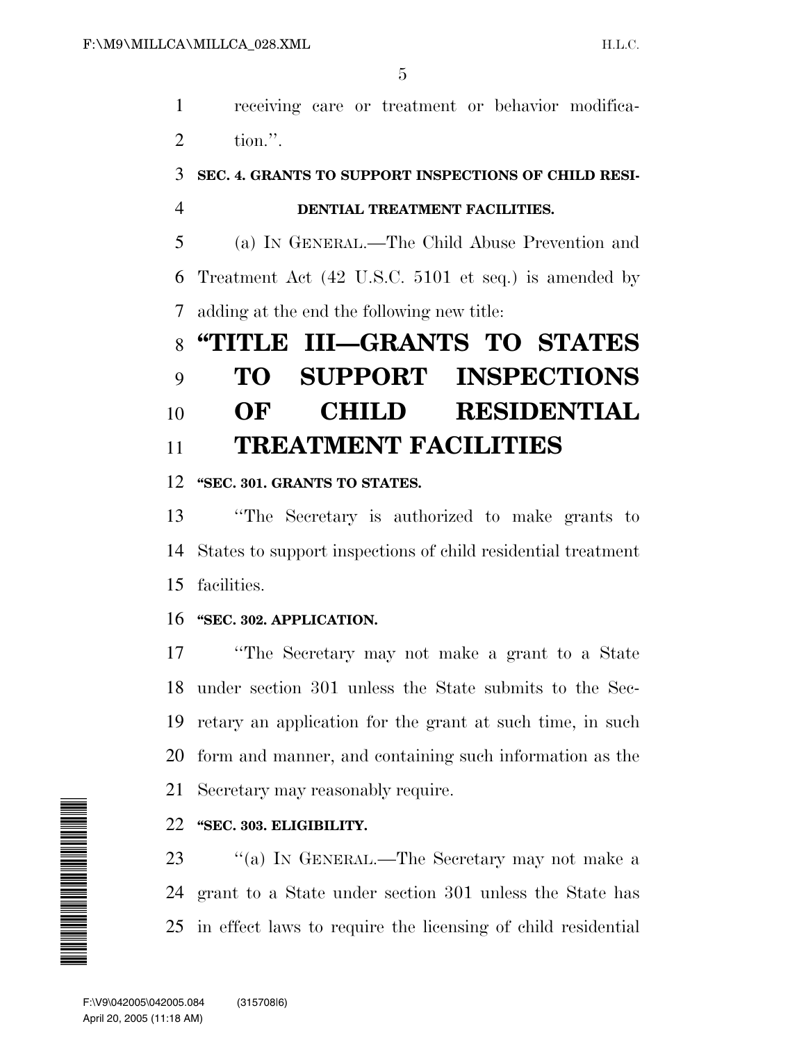receiving care or treatment or behavior modifica-tion.''.

## **SEC. 4. GRANTS TO SUPPORT INSPECTIONS OF CHILD RESI-**

### **DENTIAL TREATMENT FACILITIES.**

 (a) IN GENERAL.—The Child Abuse Prevention and Treatment Act (42 U.S.C. 5101 et seq.) is amended by adding at the end the following new title:

# **''TITLE III—GRANTS TO STATES TO SUPPORT INSPECTIONS OF CHILD RESIDENTIAL TREATMENT FACILITIES**

### **''SEC. 301. GRANTS TO STATES.**

 ''The Secretary is authorized to make grants to States to support inspections of child residential treatment facilities.

### **''SEC. 302. APPLICATION.**

 ''The Secretary may not make a grant to a State under section 301 unless the State submits to the Sec- retary an application for the grant at such time, in such form and manner, and containing such information as the Secretary may reasonably require.

### **''SEC. 303. ELIGIBILITY.**

23 "(a) In GENERAL.—The Secretary may not make a grant to a State under section 301 unless the State has in effect laws to require the licensing of child residential

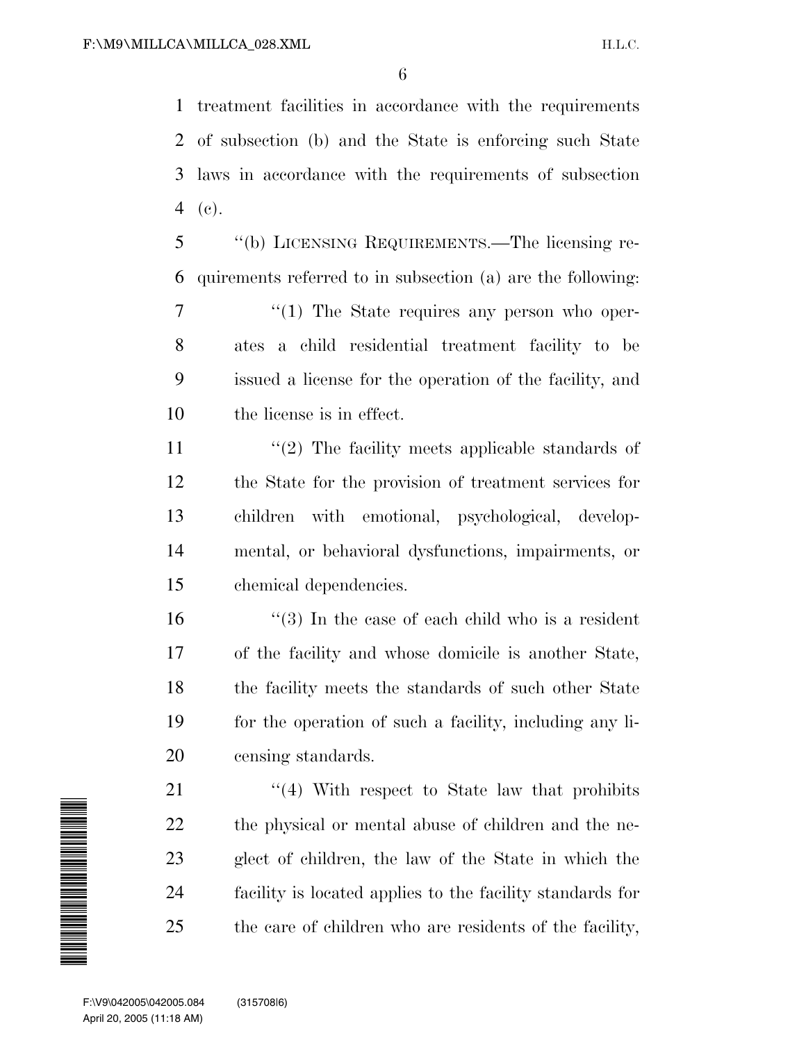treatment facilities in accordance with the requirements of subsection (b) and the State is enforcing such State laws in accordance with the requirements of subsection (c).

 ''(b) LICENSING REQUIREMENTS.—The licensing re-quirements referred to in subsection (a) are the following:

 $\frac{1}{1}$  The State requires any person who oper- ates a child residential treatment facility to be issued a license for the operation of the facility, and the license is in effect.

11 ''(2) The facility meets applicable standards of the State for the provision of treatment services for children with emotional, psychological, develop- mental, or behavioral dysfunctions, impairments, or chemical dependencies.

 $\frac{16}{16}$  ''(3) In the case of each child who is a resident of the facility and whose domicile is another State, 18 the facility meets the standards of such other State for the operation of such a facility, including any li-censing standards.

21 ''(4) With respect to State law that prohibits the physical or mental abuse of children and the ne- glect of children, the law of the State in which the facility is located applies to the facility standards for the care of children who are residents of the facility,

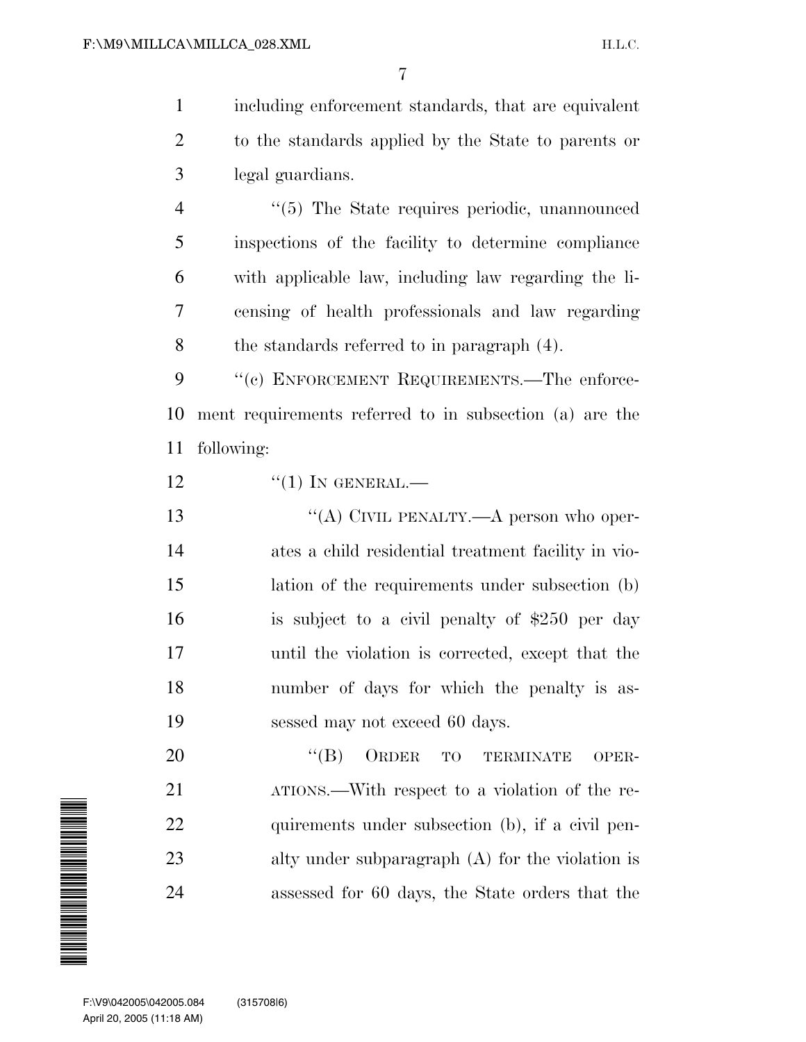1 including enforcement standards, that are equivalent 2 to the standards applied by the State to parents or 3 legal guardians.

 $(5)$  The State requires periodic, unannounced inspections of the facility to determine compliance with applicable law, including law regarding the li- censing of health professionals and law regarding the standards referred to in paragraph (4).

9 "(c) ENFORCEMENT REQUIREMENTS.—The enforce-10 ment requirements referred to in subsection (a) are the 11 following:

 $\frac{12}{10}$   $\frac{12}{10}$  In GENERAL.

13 "(A) CIVIL PENALTY.—A person who oper- ates a child residential treatment facility in vio- lation of the requirements under subsection (b) is subject to a civil penalty of \$250 per day until the violation is corrected, except that the number of days for which the penalty is as-sessed may not exceed 60 days.

20 "(B) ORDER TO TERMINATE OPER-21 ATIONS.—With respect to a violation of the re-22 quirements under subsection (b), if a civil pen-23 alty under subparagraph (A) for the violation is 24 assessed for 60 days, the State orders that the

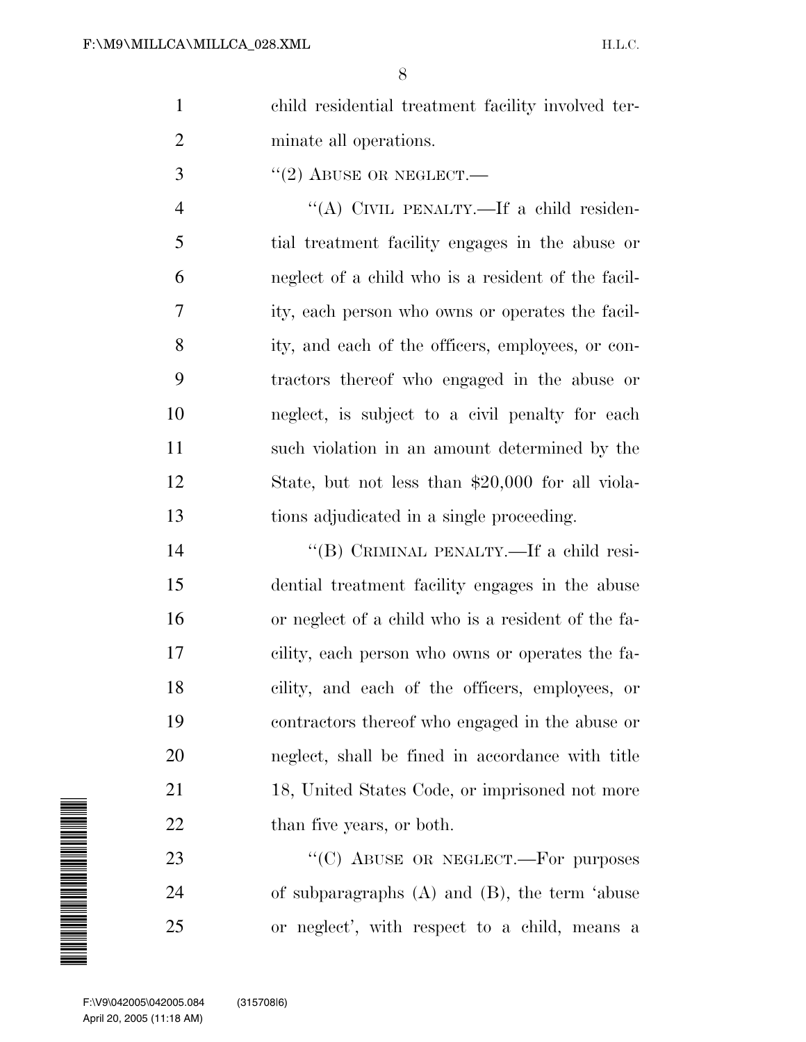| child residential treatment facility involved ter- |
|----------------------------------------------------|
| minate all operations.                             |

 $\frac{3}{2}$  ''(2) ABUSE OR NEGLECT.—

 ''(A) CIVIL PENALTY.—If a child residen- tial treatment facility engages in the abuse or neglect of a child who is a resident of the facil- ity, each person who owns or operates the facil- ity, and each of the officers, employees, or con- tractors thereof who engaged in the abuse or neglect, is subject to a civil penalty for each such violation in an amount determined by the State, but not less than \$20,000 for all viola-tions adjudicated in a single proceeding.

 ''(B) CRIMINAL PENALTY.—If a child resi- dential treatment facility engages in the abuse or neglect of a child who is a resident of the fa- cility, each person who owns or operates the fa- cility, and each of the officers, employees, or contractors thereof who engaged in the abuse or neglect, shall be fined in accordance with title 18, United States Code, or imprisoned not more 22 than five years, or both.

23 "<sup>"</sup>(C) ABUSE OR NEGLECT.—For purposes of subparagraphs (A) and (B), the term 'abuse or neglect', with respect to a child, means a

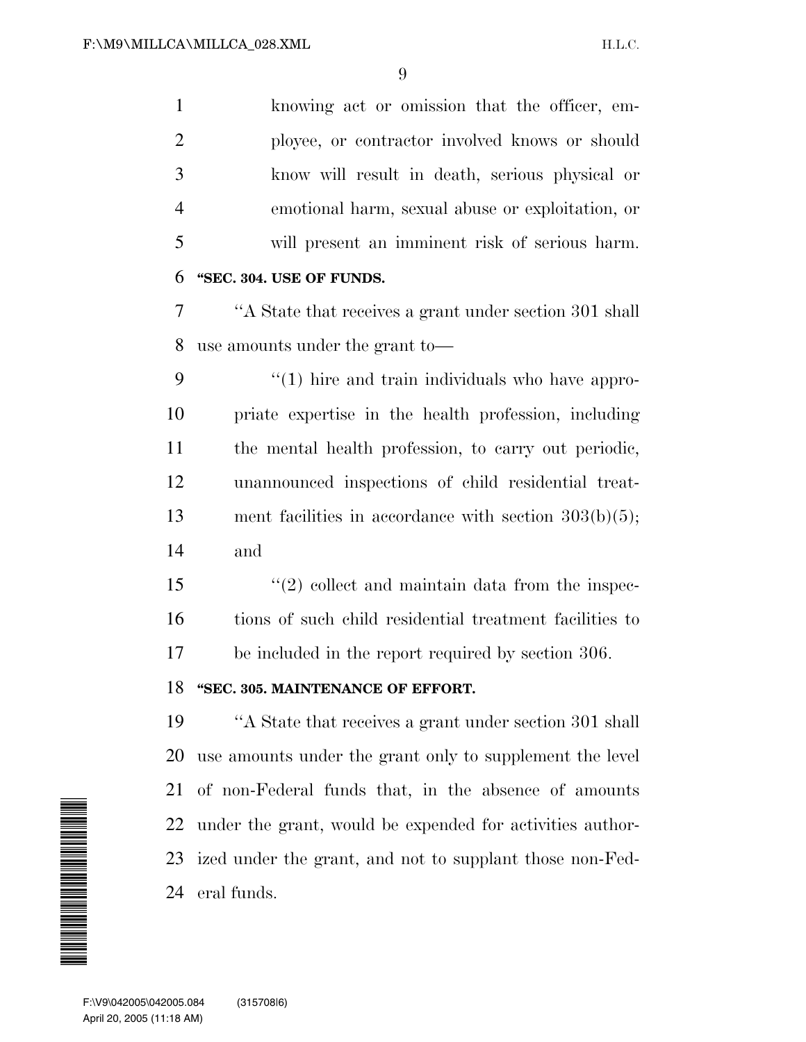knowing act or omission that the officer, em- ployee, or contractor involved knows or should know will result in death, serious physical or emotional harm, sexual abuse or exploitation, or will present an imminent risk of serious harm. **''SEC. 304. USE OF FUNDS.** ''A State that receives a grant under section 301 shall use amounts under the grant to— 9 "(1) hire and train individuals who have appro- priate expertise in the health profession, including the mental health profession, to carry out periodic, unannounced inspections of child residential treat-13 ment facilities in accordance with section  $303(b)(5)$ ; and 15 ''(2) collect and maintain data from the inspec- tions of such child residential treatment facilities to be included in the report required by section 306. **''SEC. 305. MAINTENANCE OF EFFORT.** ''A State that receives a grant under section 301 shall use amounts under the grant only to supplement the level of non-Federal funds that, in the absence of amounts under the grant, would be expended for activities author- ized under the grant, and not to supplant those non-Fed- eral funds.  $\begin{array}{r} 22 \text{ t} \\ 23 \text{ i} \\ 24 \text{ e} \\ \hline \end{array}$ <br>
F:\V9\042005\042005.084<br>
April 20, 2005 (11:18 AM)

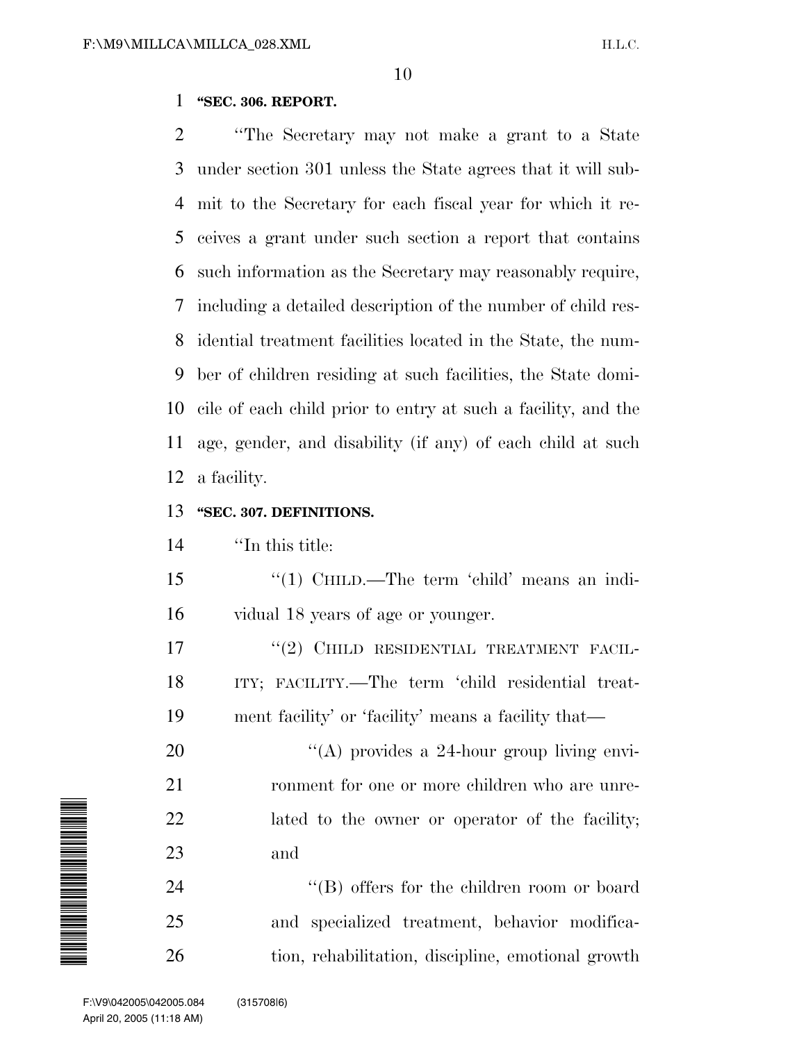#### **''SEC. 306. REPORT.**

 ''The Secretary may not make a grant to a State under section 301 unless the State agrees that it will sub- mit to the Secretary for each fiscal year for which it re- ceives a grant under such section a report that contains such information as the Secretary may reasonably require, including a detailed description of the number of child res- idential treatment facilities located in the State, the num- ber of children residing at such facilities, the State domi- cile of each child prior to entry at such a facility, and the age, gender, and disability (if any) of each child at such a facility.

#### **''SEC. 307. DEFINITIONS.**

''In this title:

 ''(1) CHILD.—The term 'child' means an indi-vidual 18 years of age or younger.

17 "(2) CHILD RESIDENTIAL TREATMENT FACIL- ITY; FACILITY.—The term 'child residential treat-ment facility' or 'facility' means a facility that—

20  $\langle (A)$  provides a 24-hour group living envi-21 ronment for one or more children who are unre- lated to the owner or operator of the facility; and

24 ''(B) offers for the children room or board and specialized treatment, behavior modifica-tion, rehabilitation, discipline, emotional growth